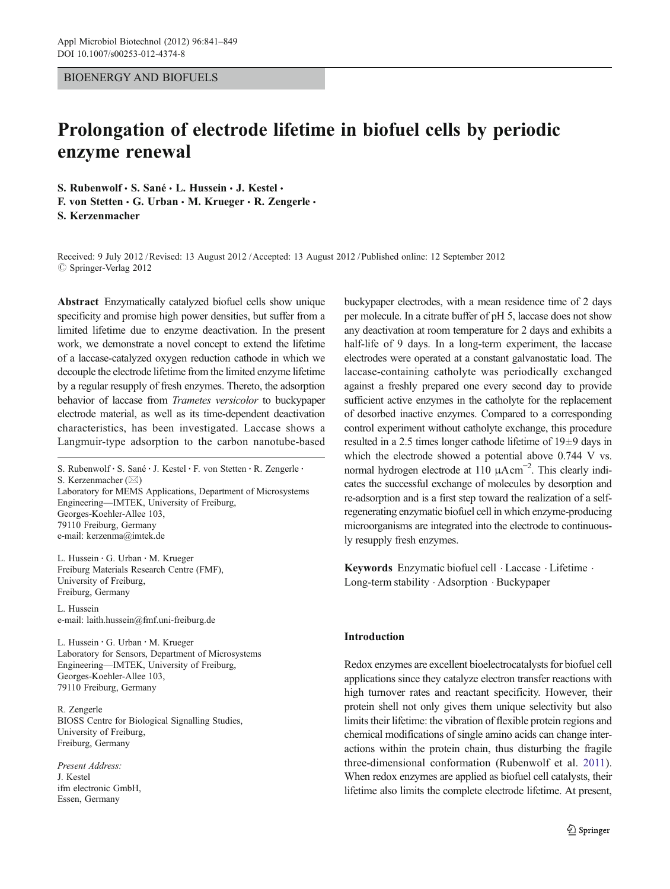# BIOENERGY AND BIOFUELS

# Prolongation of electrode lifetime in biofuel cells by periodic enzyme renewal

S. Rubenwolf · S. Sané · L. Hussein · J. Kestel ·

F. von Stetten · G. Urban · M. Krueger · R. Zengerle · S. Kerzenmacher

Received: 9 July 2012 /Revised: 13 August 2012 /Accepted: 13 August 2012 / Published online: 12 September 2012  $\circ$  Springer-Verlag 2012

Abstract Enzymatically catalyzed biofuel cells show unique specificity and promise high power densities, but suffer from a limited lifetime due to enzyme deactivation. In the present work, we demonstrate a novel concept to extend the lifetime of a laccase-catalyzed oxygen reduction cathode in which we decouple the electrode lifetime from the limited enzyme lifetime by a regular resupply of fresh enzymes. Thereto, the adsorption behavior of laccase from Trametes versicolor to buckypaper electrode material, as well as its time-dependent deactivation characteristics, has been investigated. Laccase shows a Langmuir-type adsorption to the carbon nanotube-based

S. Rubenwolf : S. Sané : J. Kestel : F. von Stetten : R. Zengerle : S. Kerzenmacher  $(\boxtimes)$ Laboratory for MEMS Applications, Department of Microsystems Engineering—IMTEK, University of Freiburg, Georges-Koehler-Allee 103, 79110 Freiburg, Germany e-mail: kerzenma@imtek.de

L. Hussein : G. Urban : M. Krueger Freiburg Materials Research Centre (FMF), University of Freiburg, Freiburg, Germany

L. Hussein e-mail: laith.hussein@fmf.uni-freiburg.de

L. Hussein : G. Urban : M. Krueger Laboratory for Sensors, Department of Microsystems Engineering—IMTEK, University of Freiburg, Georges-Koehler-Allee 103, 79110 Freiburg, Germany

R. Zengerle BIOSS Centre for Biological Signalling Studies, University of Freiburg, Freiburg, Germany

Present Address: J. Kestel ifm electronic GmbH, Essen, Germany

buckypaper electrodes, with a mean residence time of 2 days per molecule. In a citrate buffer of pH 5, laccase does not show any deactivation at room temperature for 2 days and exhibits a half-life of 9 days. In a long-term experiment, the laccase electrodes were operated at a constant galvanostatic load. The laccase-containing catholyte was periodically exchanged against a freshly prepared one every second day to provide sufficient active enzymes in the catholyte for the replacement of desorbed inactive enzymes. Compared to a corresponding control experiment without catholyte exchange, this procedure resulted in a 2.5 times longer cathode lifetime of 19±9 days in which the electrode showed a potential above 0.744 V vs. normal hydrogen electrode at 110 μAcm<sup>-2</sup>. This clearly indicates the successful exchange of molecules by desorption and re-adsorption and is a first step toward the realization of a selfregenerating enzymatic biofuel cell in which enzyme-producing microorganisms are integrated into the electrode to continuously resupply fresh enzymes.

Keywords Enzymatic biofuel cell . Laccase . Lifetime . Long-term stability . Adsorption . Buckypaper

## Introduction

Redox enzymes are excellent bioelectrocatalysts for biofuel cell applications since they catalyze electron transfer reactions with high turnover rates and reactant specificity. However, their protein shell not only gives them unique selectivity but also limits their lifetime: the vibration of flexible protein regions and chemical modifications of single amino acids can change interactions within the protein chain, thus disturbing the fragile three-dimensional conformation (Rubenwolf et al. 2011). When redox enzymes are applied as biofuel cell catalyst[s,](#page-8-0) [the](#page-8-0)ir lifetime also limits the complete electrode lifetime. At present,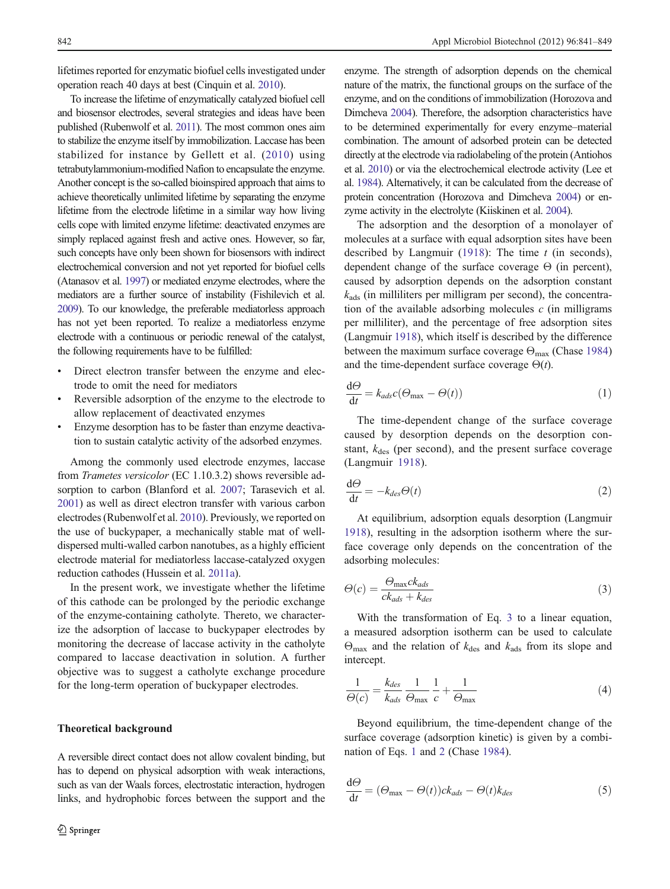<span id="page-1-0"></span>lifetimes reported for enzymatic biofuel cells investigated under operation reach 40 days at best (Cinquin et al. [2010\)](#page-7-0).

To increase the lifetime of enzymatically catalyzed biofuel cell and biosensor electrodes, several strategies and ideas have been published (Rubenwolf et al. [2011\)](#page-8-0). The most common ones aim to stabilize the enzyme itself by immobilization. Laccase has been stabilized for instance by Gellett et al. ([2010\)](#page-7-0) using tetrabutylammonium-modified Nafion to encapsulate the enzyme. Another concept is the so-called bioinspired approach that aims to achieve theoretically unlimited lifetime by separating the enzyme lifetime from the electrode lifetime in a similar way how living cells cope with limited enzyme lifetime: deactivated enzymes are simply replaced against fresh and active ones. However, so far, such concepts have only been shown for biosensors with indirect electrochemical conversion and not yet reported for biofuel cells (Atanasov et al. [1997](#page-7-0)) or mediated enzyme electrodes, where the mediators are a further source of instability (Fishilevich et al. [2009\)](#page-7-0). To our knowledge, the preferable mediatorless approach has not yet been reported. To realize a mediatorless enzyme electrode with a continuous or periodic renewal of the catalyst, the following requirements have to be fulfilled:

- Direct electron transfer between the enzyme and electrode to omit the need for mediators
- Reversible adsorption of the enzyme to the electrode to allow replacement of deactivated enzymes
- Enzyme desorption has to be faster than enzyme deactivation to sustain catalytic activity of the adsorbed enzymes.

Among the commonly used electrode enzymes, laccase from Trametes versicolor (EC 1.10.3.2) shows reversible adsorption to carbon (Blanford et al. [2007;](#page-7-0) Tarasevich et al. [2001\)](#page-8-0) as well as direct electron transfer with various carbon electrodes (Rubenwolf et al. [2010\)](#page-8-0). Previously, we reported on the use of buckypaper, a mechanically stable mat of welldispersed multi-walled carbon nanotubes, as a highly efficient electrode material for mediatorless laccase-catalyzed oxygen reduction cathodes (Hussein et al. [2011a\)](#page-7-0).

In the present work, we investigate whether the lifetime of this cathode can be prolonged by the periodic exchange of the enzyme-containing catholyte. Thereto, we characterize the adsorption of laccase to buckypaper electrodes by monitoring the decrease of laccase activity in the catholyte compared to laccase deactivation in solution. A further objective was to suggest a catholyte exchange procedure for the long-term operation of buckypaper electrodes.

#### Theoretical background

A reversible direct contact does not allow covalent binding, but has to depend on physical adsorption with weak interactions, such as van der Waals forces, electrostatic interaction, hydrogen links, and hydrophobic forces between the support and the

enzyme. The strength of adsorption depends on the chemical nature of the matrix, the functional groups on the surface of the enzyme, and on the conditions of immobilization (Horozova and Dimcheva [2004](#page-7-0)). Therefore, the adsorption characteristics have to be determined experimentally for every enzyme–material combination. The amount of adsorbed protein can be detected directly at the electrode via radiolabeling of the protein (Antiohos et al. [2010\)](#page-7-0) or via the electrochemical electrode activity (Lee et al. [1984\)](#page-8-0). Alternatively, it can be calculated from the decrease of protein concentration (Horozova and Dimcheva [2004](#page-7-0)) or enzyme activity in the electrolyte (Kiiskinen et al. [2004](#page-8-0)).

The adsorption and the desorption of a monolayer of molecules at a surface with equal adsorption sites have been described by Langmuir ([1918\)](#page-8-0): The time  $t$  (in seconds), dependent change of the surface coverage  $\Theta$  (in percent), caused by adsorption depends on the adsorption constant  $k_{\text{ads}}$  (in milliliters per milligram per second), the concentration of the available adsorbing molecules  $c$  (in milligrams per milliliter), and the percentage of free adsorption sites (Langmuir [1918\)](#page-8-0), which itself is described by the difference between the maximum surface coverage  $\Theta_{\text{max}}$  (Chase [1984](#page-7-0)) and the time-dependent surface coverage  $\Theta(t)$ .

$$
\frac{d\Theta}{dt} = k_{ads}c(\Theta_{\text{max}} - \Theta(t))
$$
\n(1)

The time-dependent change of the surface coverage caused by desorption depends on the desorption constant,  $k_{des}$  (per second), and the present surface coverage (Langmuir [1918](#page-8-0)).

$$
\frac{\mathrm{d}\Theta}{\mathrm{d}t} = -k_{des}\Theta(t) \tag{2}
$$

At equilibrium, adsorption equals desorption (Langmuir [1918](#page-8-0)), resulting in the adsorption isotherm where the surface coverage only depends on the concentration of the adsorbing molecules:

$$
\Theta(c) = \frac{\Theta_{\text{max}}ck_{ads}}{ck_{ads} + k_{des}}
$$
\n(3)

With the transformation of Eq. 3 to a linear equation, a measured adsorption isotherm can be used to calculate  $\Theta_{\text{max}}$  and the relation of  $k_{\text{des}}$  and  $k_{\text{ads}}$  from its slope and intercept.

$$
\frac{1}{\Theta(c)} = \frac{k_{des}}{k_{ads}} \frac{1}{\Theta_{\text{max}}} \frac{1}{c} + \frac{1}{\Theta_{\text{max}}} \tag{4}
$$

Beyond equilibrium, the time-dependent change of the surface coverage (adsorption kinetic) is given by a combination of Eqs. 1 and 2 (Chase [1984](#page-7-0)).

$$
\frac{d\Theta}{dt} = (\Theta_{\text{max}} - \Theta(t))ck_{ads} - \Theta(t)k_{des}
$$
\n(5)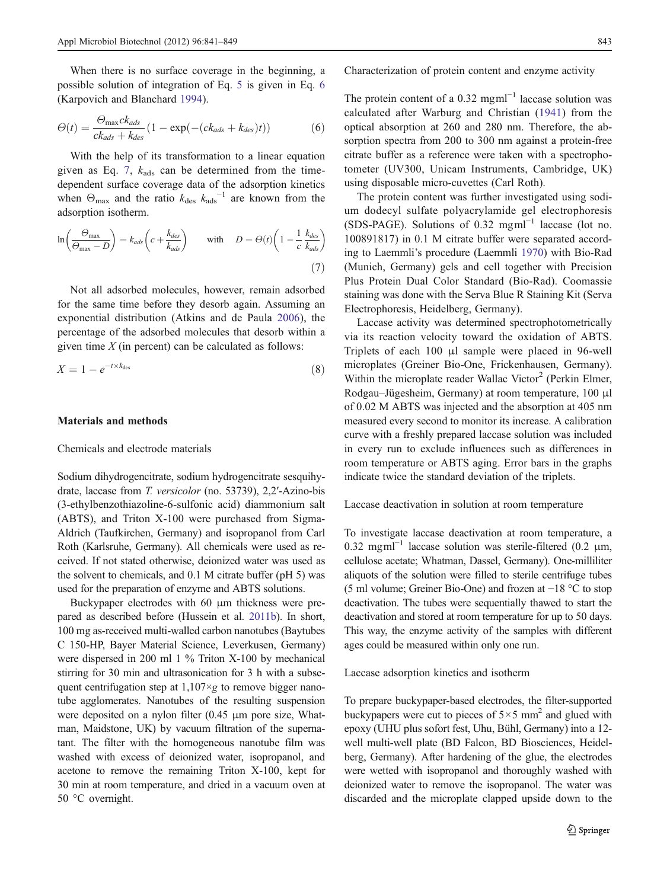<span id="page-2-0"></span>When there is no surface coverage in the beginning, a possible solution of integration of Eq. [5](#page-1-0) is given in Eq. 6 (Karpovich and Blanchard [1994\)](#page-8-0).

$$
\Theta(t) = \frac{\Theta_{\text{max}}ck_{ads}}{ck_{ads} + k_{des}} \left(1 - \exp(-(ck_{ads} + k_{des})t)\right) \tag{6}
$$

With the help of its transformation to a linear equation given as Eq. 7,  $k_{ads}$  can be determined from the timedependent surface coverage data of the adsorption kinetics when  $\Theta_{\text{max}}$  and the ratio  $k_{\text{des}} k_{\text{ads}}^{-1}$  are known from the adsorption isotherm.

$$
\ln\left(\frac{\Theta_{\text{max}}}{\Theta_{\text{max}} - D}\right) = k_{ads}\left(c + \frac{k_{des}}{k_{ads}}\right) \quad \text{with} \quad D = \Theta(t)\left(1 - \frac{1}{c}\frac{k_{des}}{k_{ads}}\right)
$$
\n
$$
\tag{7}
$$

Not all adsorbed molecules, however, remain adsorbed for the same time before they desorb again. Assuming an exponential distribution (Atkins and de Paula [2006\)](#page-7-0), the percentage of the adsorbed molecules that desorb within a given time  $X$  (in percent) can be calculated as follows:

$$
X = 1 - e^{-t \times k_{\text{des}}}
$$
 (8)

## Materials and methods

## Chemicals and electrode materials

Sodium dihydrogencitrate, sodium hydrogencitrate sesquihydrate, laccase from T. versicolor (no. 53739), 2,2′-Azino-bis (3-ethylbenzothiazoline-6-sulfonic acid) diammonium salt (ABTS), and Triton X-100 were purchased from Sigma-Aldrich (Taufkirchen, Germany) and isopropanol from Carl Roth (Karlsruhe, Germany). All chemicals were used as received. If not stated otherwise, deionized water was used as the solvent to chemicals, and 0.1 M citrate buffer (pH 5) was used for the preparation of enzyme and ABTS solutions.

Buckypaper electrodes with 60 μm thickness were prepared as described before (Hussein et al. [2011b\)](#page-8-0). In short, 100 mg as-received multi-walled carbon nanotubes (Baytubes C 150-HP, Bayer Material Science, Leverkusen, Germany) were dispersed in 200 ml 1 % Triton X-100 by mechanical stirring for 30 min and ultrasonication for 3 h with a subsequent centrifugation step at  $1,107 \times g$  to remove bigger nanotube agglomerates. Nanotubes of the resulting suspension were deposited on a nylon filter (0.45 μm pore size, Whatman, Maidstone, UK) by vacuum filtration of the supernatant. The filter with the homogeneous nanotube film was washed with excess of deionized water, isopropanol, and acetone to remove the remaining Triton X-100, kept for 30 min at room temperature, and dried in a vacuum oven at 50 °C overnight.

Characterization of protein content and enzyme activity

The protein content of a 0.32 mgm $^{-1}$  laccase solution was calculated after Warburg and Christian [\(1941\)](#page-8-0) from the optical absorption at 260 and 280 nm. Therefore, the absorption spectra from 200 to 300 nm against a protein-free citrate buffer as a reference were taken with a spectrophotometer (UV300, Unicam Instruments, Cambridge, UK) using disposable micro-cuvettes (Carl Roth).

The protein content was further investigated using sodium dodecyl sulfate polyacrylamide gel electrophoresis (SDS-PAGE). Solutions of 0.32 mgml−<sup>1</sup> laccase (lot no. 100891817) in 0.1 M citrate buffer were separated according to Laemmli's procedure (Laemmli [1970](#page-8-0)) with Bio-Rad (Munich, Germany) gels and cell together with Precision Plus Protein Dual Color Standard (Bio-Rad). Coomassie staining was done with the Serva Blue R Staining Kit (Serva Electrophoresis, Heidelberg, Germany).

Laccase activity was determined spectrophotometrically via its reaction velocity toward the oxidation of ABTS. Triplets of each 100 μl sample were placed in 96-well microplates (Greiner Bio-One, Frickenhausen, Germany). Within the microplate reader Wallac Victor<sup>2</sup> (Perkin Elmer, Rodgau–Jügesheim, Germany) at room temperature, 100 μl of 0.02 M ABTS was injected and the absorption at 405 nm measured every second to monitor its increase. A calibration curve with a freshly prepared laccase solution was included in every run to exclude influences such as differences in room temperature or ABTS aging. Error bars in the graphs indicate twice the standard deviation of the triplets.

Laccase deactivation in solution at room temperature

To investigate laccase deactivation at room temperature, a 0.32 mgml<sup> $-1$ </sup> laccase solution was sterile-filtered (0.2 µm, cellulose acetate; Whatman, Dassel, Germany). One-milliliter aliquots of the solution were filled to sterile centrifuge tubes (5 ml volume; Greiner Bio-One) and frozen at −18 °C to stop deactivation. The tubes were sequentially thawed to start the deactivation and stored at room temperature for up to 50 days. This way, the enzyme activity of the samples with different ages could be measured within only one run.

Laccase adsorption kinetics and isotherm

To prepare buckypaper-based electrodes, the filter-supported buckypapers were cut to pieces of  $5 \times 5$  mm<sup>2</sup> and glued with epoxy (UHU plus sofort fest, Uhu, Bühl, Germany) into a 12 well multi-well plate (BD Falcon, BD Biosciences, Heidelberg, Germany). After hardening of the glue, the electrodes were wetted with isopropanol and thoroughly washed with deionized water to remove the isopropanol. The water was discarded and the microplate clapped upside down to the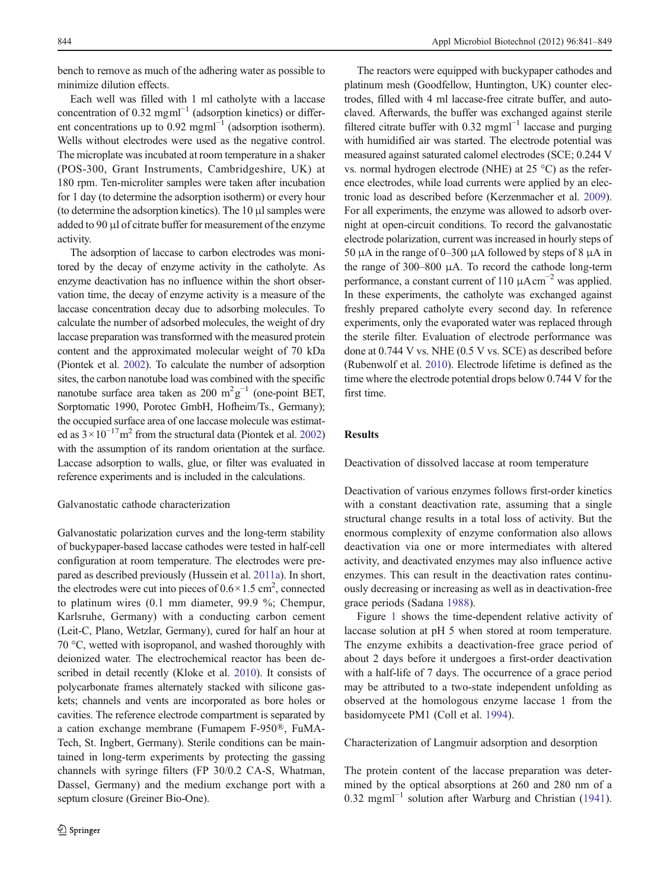bench to remove as much of the adhering water as possible to minimize dilution effects.

Each well was filled with 1 ml catholyte with a laccase concentration of 0.32 mgml<sup> $-1$ </sup> (adsorption kinetics) or different concentrations up to 0.92 mgm $^{-1}$  (adsorption isotherm). Wells without electrodes were used as the negative control. The microplate was incubated at room temperature in a shaker (POS-300, Grant Instruments, Cambridgeshire, UK) at 180 rpm. Ten-microliter samples were taken after incubation for 1 day (to determine the adsorption isotherm) or every hour (to determine the adsorption kinetics). The 10 μl samples were added to 90 μl of citrate buffer for measurement of the enzyme activity.

The adsorption of laccase to carbon electrodes was monitored by the decay of enzyme activity in the catholyte. As enzyme deactivation has no influence within the short observation time, the decay of enzyme activity is a measure of the laccase concentration decay due to adsorbing molecules. To calculate the number of adsorbed molecules, the weight of dry laccase preparation was transformed with the measured protein content and the approximated molecular weight of 70 kDa (Piontek et al. [2002](#page-8-0)). To calculate the number of adsorption sites, the carbon nanotube load was combined with the specific nanotube surface area taken as 200  $m^2g^{-1}$  (one-point BET, Sorptomatic 1990, Porotec GmbH, Hofheim/Ts., Germany); the occupied surface area of one laccase molecule was estimated as  $3 \times 10^{-17}$  m<sup>2</sup> from the structural data (Piontek et al. [2002\)](#page-8-0) with the assumption of its random orientation at the surface. Laccase adsorption to walls, glue, or filter was evaluated in reference experiments and is included in the calculations.

## Galvanostatic cathode characterization

Galvanostatic polarization curves and the long-term stability of buckypaper-based laccase cathodes were tested in half-cell configuration at room temperature. The electrodes were prepared as described previously (Hussein et al. [2011a](#page-7-0)). In short, the electrodes were cut into pieces of  $0.6 \times 1.5$  cm<sup>2</sup>, connected to platinum wires (0.1 mm diameter, 99.9 %; Chempur, Karlsruhe, Germany) with a conducting carbon cement (Leit-C, Plano, Wetzlar, Germany), cured for half an hour at 70 °C, wetted with isopropanol, and washed thoroughly with deionized water. The electrochemical reactor has been described in detail recently (Kloke et al. [2010\)](#page-8-0). It consists of polycarbonate frames alternately stacked with silicone gaskets; channels and vents are incorporated as bore holes or cavities. The reference electrode compartment is separated by a cation exchange membrane (Fumapem F-950®, FuMA-Tech, St. Ingbert, Germany). Sterile conditions can be maintained in long-term experiments by protecting the gassing channels with syringe filters (FP 30/0.2 CA-S, Whatman, Dassel, Germany) and the medium exchange port with a septum closure (Greiner Bio-One).

The reactors were equipped with buckypaper cathodes and platinum mesh (Goodfellow, Huntington, UK) counter electrodes, filled with 4 ml laccase-free citrate buffer, and autoclaved. Afterwards, the buffer was exchanged against sterile filtered citrate buffer with 0.32 mgml<sup> $-1$ </sup> laccase and purging with humidified air was started. The electrode potential was measured against saturated calomel electrodes (SCE; 0.244 V vs. normal hydrogen electrode (NHE) at 25 °C) as the reference electrodes, while load currents were applied by an electronic load as described before (Kerzenmacher et al. [2009\)](#page-8-0). For all experiments, the enzyme was allowed to adsorb overnight at open-circuit conditions. To record the galvanostatic electrode polarization, current was increased in hourly steps of 50 μA in the range of 0–300 μA followed by steps of 8 μA in the range of 300–800 μA. To record the cathode long-term performance, a constant current of 110  $\mu$ Acm<sup>-2</sup> was applied. In these experiments, the catholyte was exchanged against freshly prepared catholyte every second day. In reference experiments, only the evaporated water was replaced through the sterile filter. Evaluation of electrode performance was done at 0.744 V vs. NHE (0.5 V vs. SCE) as described before (Rubenwolf et al. [2010\)](#page-8-0). Electrode lifetime is defined as the time where the electrode potential drops below 0.744 V for the first time.

# Results

Deactivation of dissolved laccase at room temperature

Deactivation of various enzymes follows first-order kinetics with a constant deactivation rate, assuming that a single structural change results in a total loss of activity. But the enormous complexity of enzyme conformation also allows deactivation via one or more intermediates with altered activity, and deactivated enzymes may also influence active enzymes. This can result in the deactivation rates continuously decreasing or increasing as well as in deactivation-free grace periods (Sadana [1988](#page-8-0)).

Figure [1](#page-4-0) shows the time-dependent relative activity of laccase solution at pH 5 when stored at room temperature. The enzyme exhibits a deactivation-free grace period of about 2 days before it undergoes a first-order deactivation with a half-life of 7 days. The occurrence of a grace period may be attributed to a two-state independent unfolding as observed at the homologous enzyme laccase 1 from the basidomycete PM1 (Coll et al. [1994\)](#page-7-0).

#### Characterization of Langmuir adsorption and desorption

The protein content of the laccase preparation was determined by the optical absorptions at 260 and 280 nm of a 0.32 mgml−<sup>1</sup> solution after Warburg and Christian ([1941\)](#page-8-0).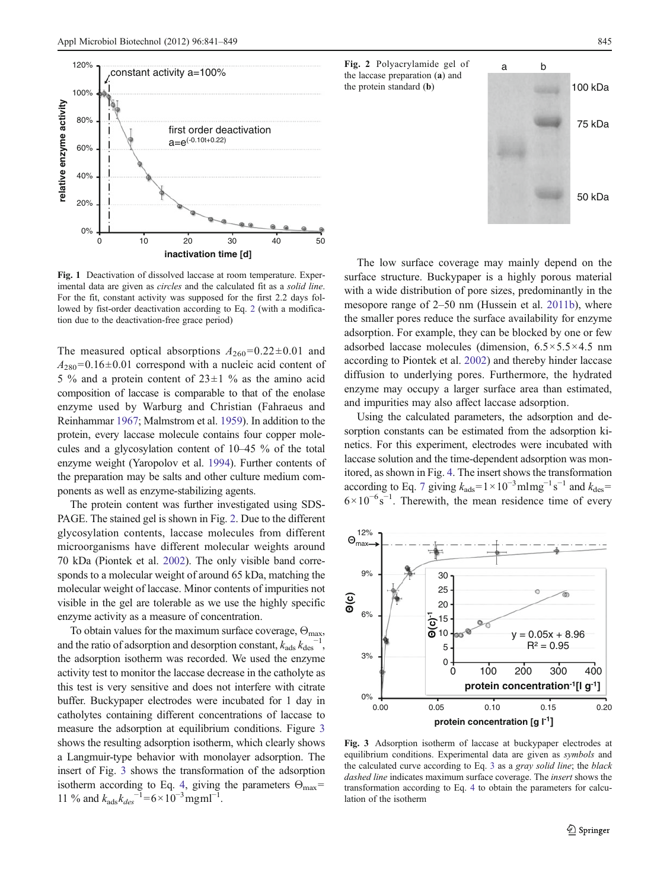<span id="page-4-0"></span>

Fig. 1 Deactivation of dissolved laccase at room temperature. Experimental data are given as circles and the calculated fit as a solid line. For the fit, constant activity was supposed for the first 2.2 days followed by fist-order deactivation according to Eq. [2](#page-1-0) (with a modification due to the deactivation-free grace period)

The measured optical absorptions  $A_{260} = 0.22 \pm 0.01$  and  $A_{280}$ =0.16±0.01 correspond with a nucleic acid content of 5 % and a protein content of  $23 \pm 1$  % as the amino acid composition of laccase is comparable to that of the enolase enzyme used by Warburg and Christian (Fahraeus and Reinhammar [1967;](#page-7-0) Malmstrom et al. [1959](#page-8-0)). In addition to the protein, every laccase molecule contains four copper molecules and a glycosylation content of 10–45 % of the total enzyme weight (Yaropolov et al. [1994](#page-8-0)). Further contents of the preparation may be salts and other culture medium components as well as enzyme-stabilizing agents.

The protein content was further investigated using SDS-PAGE. The stained gel is shown in Fig. 2. Due to the different glycosylation contents, laccase molecules from different microorganisms have different molecular weights around 70 kDa (Piontek et al. [2002\)](#page-8-0). The only visible band corresponds to a molecular weight of around 65 kDa, matching the molecular weight of laccase. Minor contents of impurities not visible in the gel are tolerable as we use the highly specific enzyme activity as a measure of concentration.

To obtain values for the maximum surface coverage,  $\Theta_{\text{max}}$ , and the ratio of adsorption and desorption constant,  $k_{ads} k_{des}^{-1}$ , the adsorption isotherm was recorded. We used the enzyme activity test to monitor the laccase decrease in the catholyte as this test is very sensitive and does not interfere with citrate buffer. Buckypaper electrodes were incubated for 1 day in catholytes containing different concentrations of laccase to measure the adsorption at equilibrium conditions. Figure 3 shows the resulting adsorption isotherm, which clearly shows a Langmuir-type behavior with monolayer adsorption. The insert of Fig. 3 shows the transformation of the adsorption isotherm according to Eq. [4,](#page-1-0) giving the parameters  $\Theta_{\text{max}}=$ 11 % and  $k_{ads}k_{des}^{-1}$ =6 × 10<sup>-3</sup> mg ml<sup>-1</sup>.



The low surface coverage may mainly depend on the surface structure. Buckypaper is a highly porous material with a wide distribution of pore sizes, predominantly in the mesopore range of 2–50 nm (Hussein et al. [2011b](#page-8-0)), where the smaller pores reduce the surface availability for enzyme adsorption. For example, they can be blocked by one or few adsorbed laccase molecules (dimension,  $6.5 \times 5.5 \times 4.5$  nm according to Piontek et al. [2002\)](#page-8-0) and thereby hinder laccase diffusion to underlying pores. Furthermore, the hydrated enzyme may occupy a larger surface area than estimated, and impurities may also affect laccase adsorption.

Using the calculated parameters, the adsorption and desorption constants can be estimated from the adsorption kinetics. For this experiment, electrodes were incubated with laccase solution and the time-dependent adsorption was monitored, as shown in Fig. [4](#page-5-0). The insert shows the transformation according to Eq. [7](#page-2-0) giving  $k_{ads} = 1 \times 10^{-3}$  mlmg<sup>-1</sup>s<sup>-1</sup> and  $k_{des}$  $6 \times 10^{-6}$  s<sup>-1</sup>. Therewith, the mean residence time of every



Fig. 3 Adsorption isotherm of laccase at buckypaper electrodes at equilibrium conditions. Experimental data are given as symbols and the calculated curve according to Eq. [3](#page-1-0) as a gray solid line; the black dashed line indicates maximum surface coverage. The insert shows the transformation according to Eq. [4](#page-1-0) to obtain the parameters for calculation of the isotherm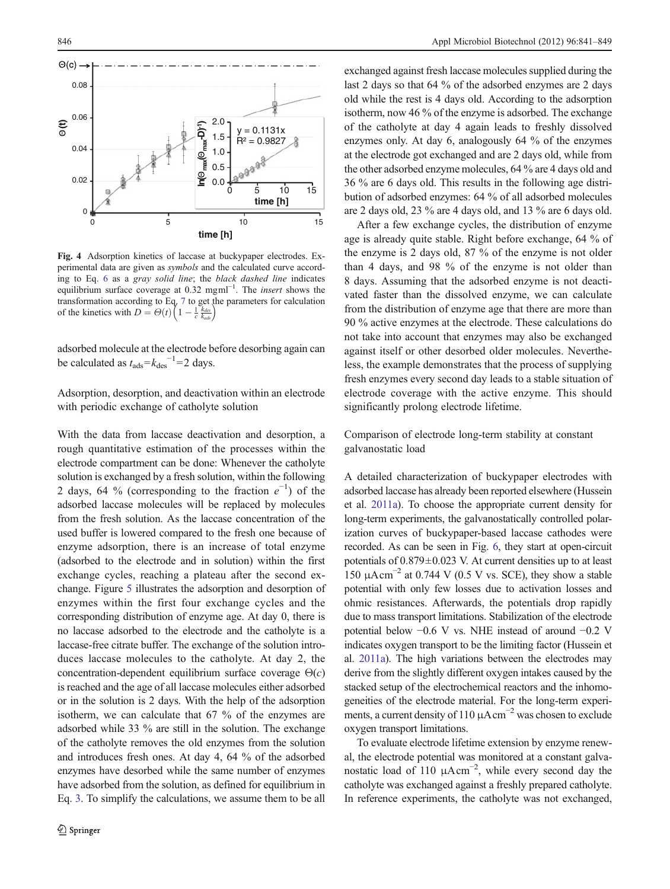<span id="page-5-0"></span>

Fig. 4 Adsorption kinetics of laccase at buckypaper electrodes. Experimental data are given as symbols and the calculated curve according to Eq. [6](#page-2-0) as a gray solid line; the black dashed line indicates equilibrium surface coverage at 0.32 mgml<sup>-1</sup>. The *insert* shows the transformation according to Eq. [7](#page-2-0) to get the parameters for calculation of the kinetics with  $D = \Theta(t) \left( 1 - \frac{1}{c} \frac{k_{des}}{k_{ads}} \right)$ 

adsorbed molecule at the electrode before desorbing again can be calculated as  $t_{\text{ads}} = k_{\text{des}}^{-1} = 2$  days.

Adsorption, desorption, and deactivation within an electrode with periodic exchange of catholyte solution

With the data from laccase deactivation and desorption, a rough quantitative estimation of the processes within the electrode compartment can be done: Whenever the catholyte solution is exchanged by a fresh solution, within the following 2 days, 64 % (corresponding to the fraction  $e^{-1}$ ) of the adsorbed laccase molecules will be replaced by molecules from the fresh solution. As the laccase concentration of the used buffer is lowered compared to the fresh one because of enzyme adsorption, there is an increase of total enzyme (adsorbed to the electrode and in solution) within the first exchange cycles, reaching a plateau after the second exchange. Figure [5](#page-6-0) illustrates the adsorption and desorption of enzymes within the first four exchange cycles and the corresponding distribution of enzyme age. At day 0, there is no laccase adsorbed to the electrode and the catholyte is a laccase-free citrate buffer. The exchange of the solution introduces laccase molecules to the catholyte. At day 2, the concentration-dependent equilibrium surface coverage  $\Theta(c)$ is reached and the age of all laccase molecules either adsorbed or in the solution is 2 days. With the help of the adsorption isotherm, we can calculate that 67 % of the enzymes are adsorbed while 33 % are still in the solution. The exchange of the catholyte removes the old enzymes from the solution and introduces fresh ones. At day 4, 64 % of the adsorbed enzymes have desorbed while the same number of enzymes have adsorbed from the solution, as defined for equilibrium in Eq. [3.](#page-1-0) To simplify the calculations, we assume them to be all

exchanged against fresh laccase molecules supplied during the last 2 days so that 64 % of the adsorbed enzymes are 2 days old while the rest is 4 days old. According to the adsorption isotherm, now 46 % of the enzyme is adsorbed. The exchange of the catholyte at day 4 again leads to freshly dissolved enzymes only. At day 6, analogously 64 % of the enzymes at the electrode got exchanged and are 2 days old, while from the other adsorbed enzyme molecules, 64 % are 4 days old and 36 % are 6 days old. This results in the following age distribution of adsorbed enzymes: 64 % of all adsorbed molecules are 2 days old, 23 % are 4 days old, and 13 % are 6 days old.

After a few exchange cycles, the distribution of enzyme age is already quite stable. Right before exchange, 64 % of the enzyme is 2 days old, 87 % of the enzyme is not older than 4 days, and 98 % of the enzyme is not older than 8 days. Assuming that the adsorbed enzyme is not deactivated faster than the dissolved enzyme, we can calculate from the distribution of enzyme age that there are more than 90 % active enzymes at the electrode. These calculations do not take into account that enzymes may also be exchanged against itself or other desorbed older molecules. Nevertheless, the example demonstrates that the process of supplying fresh enzymes every second day leads to a stable situation of electrode coverage with the active enzyme. This should significantly prolong electrode lifetime.

Comparison of electrode long-term stability at constant galvanostatic load

A detailed characterization of buckypaper electrodes with adsorbed laccase has already been reported elsewhere (Hussein et al. [2011a](#page-7-0)). To choose the appropriate current density for long-term experiments, the galvanostatically controlled polarization curves of buckypaper-based laccase cathodes were recorded. As can be seen in Fig. [6,](#page-6-0) they start at open-circuit potentials of 0.879±0.023 V. At current densities up to at least 150  $\mu$ Acm<sup>-2</sup> at 0.744 V (0.5 V vs. SCE), they show a stable potential with only few losses due to activation losses and ohmic resistances. Afterwards, the potentials drop rapidly due to mass transport limitations. Stabilization of the electrode potential below −0.6 V vs. NHE instead of around −0.2 V indicates oxygen transport to be the limiting factor (Hussein et al. [2011a\)](#page-7-0). The high variations between the electrodes may derive from the slightly different oxygen intakes caused by the stacked setup of the electrochemical reactors and the inhomogeneities of the electrode material. For the long-term experiments, a current density of 110  $\mu$ A cm<sup>-2</sup> was chosen to exclude oxygen transport limitations.

To evaluate electrode lifetime extension by enzyme renewal, the electrode potential was monitored at a constant galvanostatic load of 110  $\mu$ Acm<sup>-2</sup>, while every second day the catholyte was exchanged against a freshly prepared catholyte. In reference experiments, the catholyte was not exchanged,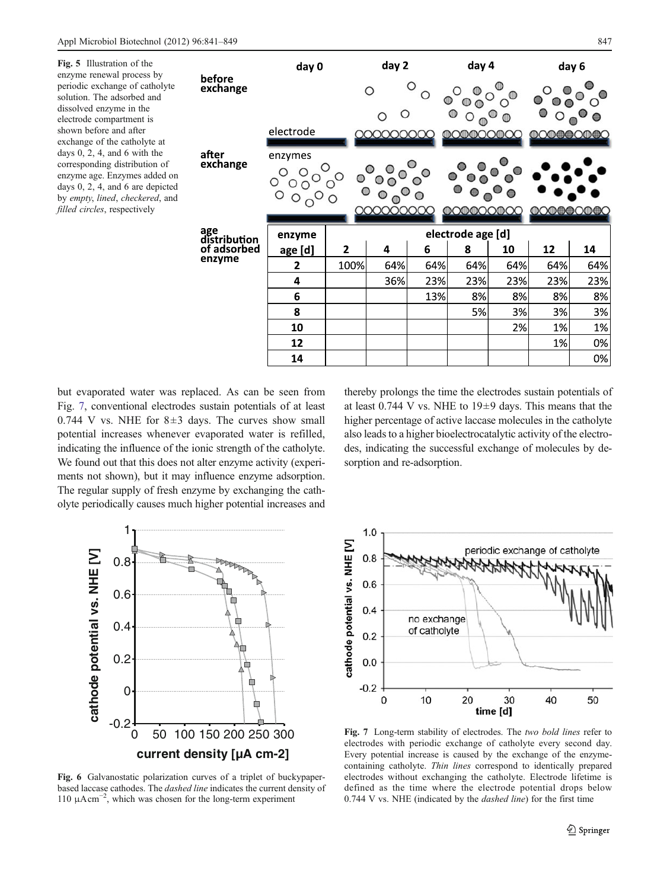<span id="page-6-0"></span>

| Fig. 5 Illustration of the<br>enzyme renewal process by<br>periodic exchange of catholyte<br>solution. The adsorbed and<br>dissolved enzyme in the<br>electrode compartment is<br>shown before and after<br>exchange of the catholyte at<br>days $0, 2, 4$ , and $6$ with the<br>corresponding distribution of<br>enzyme age. Enzymes added on<br>days $0, 2, 4$ , and $6$ are depicted<br>by empty, lined, checkered, and<br>filled circles, respectively | before<br>exchange<br>after<br>exchange<br>age<br>distribution<br>of adsorbed<br>enzyme | day 0     |              | day 2             |     | day 4                                       |     |                                                                                                                                                                                                                                                                                                                                                     | day 6 |
|------------------------------------------------------------------------------------------------------------------------------------------------------------------------------------------------------------------------------------------------------------------------------------------------------------------------------------------------------------------------------------------------------------------------------------------------------------|-----------------------------------------------------------------------------------------|-----------|--------------|-------------------|-----|---------------------------------------------|-----|-----------------------------------------------------------------------------------------------------------------------------------------------------------------------------------------------------------------------------------------------------------------------------------------------------------------------------------------------------|-------|
|                                                                                                                                                                                                                                                                                                                                                                                                                                                            |                                                                                         |           |              | О                 |     |                                             |     |                                                                                                                                                                                                                                                                                                                                                     |       |
|                                                                                                                                                                                                                                                                                                                                                                                                                                                            |                                                                                         | electrode |              | 000000000         |     | $@$ O $@$ O $@$ O $@$ OO                    |     | $\begin{picture}(150,10) \put(0,0){\line(1,0){10}} \put(15,0){\line(1,0){10}} \put(15,0){\line(1,0){10}} \put(15,0){\line(1,0){10}} \put(15,0){\line(1,0){10}} \put(15,0){\line(1,0){10}} \put(15,0){\line(1,0){10}} \put(15,0){\line(1,0){10}} \put(15,0){\line(1,0){10}} \put(15,0){\line(1,0){10}} \put(15,0){\line(1,0){10}} \put(15,0){\line($ |       |
|                                                                                                                                                                                                                                                                                                                                                                                                                                                            |                                                                                         | enzymes   |              |                   |     |                                             |     |                                                                                                                                                                                                                                                                                                                                                     |       |
|                                                                                                                                                                                                                                                                                                                                                                                                                                                            |                                                                                         |           |              | 000000000         |     | $\mathbb O$ @@ $\mathbb O$ Q@ $\mathbb O$ Q |     | <b>IDOIDE CODE C</b>                                                                                                                                                                                                                                                                                                                                |       |
|                                                                                                                                                                                                                                                                                                                                                                                                                                                            |                                                                                         | enzyme    |              | electrode age [d] |     |                                             |     |                                                                                                                                                                                                                                                                                                                                                     |       |
|                                                                                                                                                                                                                                                                                                                                                                                                                                                            |                                                                                         | age [d]   | $\mathbf{2}$ | 4                 | 6   | 8                                           | 10  | 12                                                                                                                                                                                                                                                                                                                                                  | 14    |
|                                                                                                                                                                                                                                                                                                                                                                                                                                                            |                                                                                         | 2         | 100%         | 64%               | 64% | 64%                                         | 64% | 64%                                                                                                                                                                                                                                                                                                                                                 | 64%   |
|                                                                                                                                                                                                                                                                                                                                                                                                                                                            |                                                                                         | 4         |              | 36%               | 23% | 23%                                         | 23% | 23%                                                                                                                                                                                                                                                                                                                                                 | 23%   |
|                                                                                                                                                                                                                                                                                                                                                                                                                                                            |                                                                                         | 6         |              |                   | 13% | 8%                                          | 8%  | 8%                                                                                                                                                                                                                                                                                                                                                  | 8%    |
|                                                                                                                                                                                                                                                                                                                                                                                                                                                            |                                                                                         | 8         |              |                   |     | 5%                                          | 3%  | 3%                                                                                                                                                                                                                                                                                                                                                  | 3%    |
|                                                                                                                                                                                                                                                                                                                                                                                                                                                            |                                                                                         | 10        |              |                   |     |                                             | 2%  | 1%                                                                                                                                                                                                                                                                                                                                                  | 1%    |
|                                                                                                                                                                                                                                                                                                                                                                                                                                                            |                                                                                         | 12        |              |                   |     |                                             |     | 1%                                                                                                                                                                                                                                                                                                                                                  | 0%    |
|                                                                                                                                                                                                                                                                                                                                                                                                                                                            |                                                                                         | 14        |              |                   |     |                                             |     |                                                                                                                                                                                                                                                                                                                                                     | 0%    |

but evaporated water was replaced. As can be seen from Fig. 7, conventional electrodes sustain potentials of at least 0.744 V vs. NHE for  $8\pm3$  days. The curves show small potential increases whenever evaporated water is refilled, indicating the influence of the ionic strength of the catholyte. We found out that this does not alter enzyme activity (experiments not shown), but it may influence enzyme adsorption. The regular supply of fresh enzyme by exchanging the catholyte periodically causes much higher potential increases and





Fig. 6 Galvanostatic polarization curves of a triplet of buckypaperbased laccase cathodes. The dashed line indicates the current density of 110 μAcm−<sup>2</sup> , which was chosen for the long-term experiment



Fig. 7 Long-term stability of electrodes. The two bold lines refer to electrodes with periodic exchange of catholyte every second day. Every potential increase is caused by the exchange of the enzymecontaining catholyte. Thin lines correspond to identically prepared electrodes without exchanging the catholyte. Electrode lifetime is defined as the time where the electrode potential drops below 0.744 V vs. NHE (indicated by the dashed line) for the first time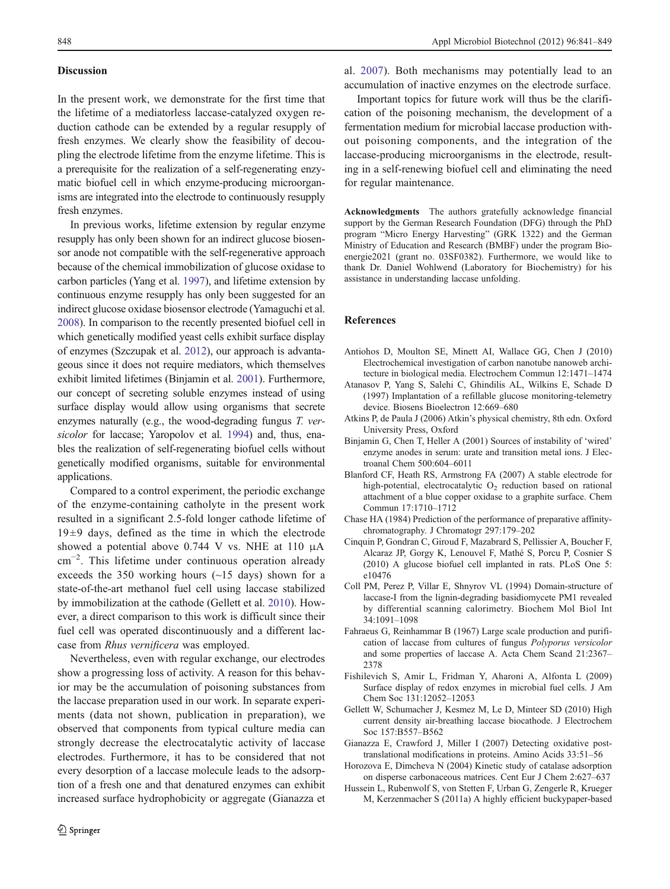#### <span id="page-7-0"></span>**Discussion**

In the present work, we demonstrate for the first time that the lifetime of a mediatorless laccase-catalyzed oxygen reduction cathode can be extended by a regular resupply of fresh enzymes. We clearly show the feasibility of decoupling the electrode lifetime from the enzyme lifetime. This is a prerequisite for the realization of a self-regenerating enzymatic biofuel cell in which enzyme-producing microorganisms are integrated into the electrode to continuously resupply fresh enzymes.

In previous works, lifetime extension by regular enzyme resupply has only been shown for an indirect glucose biosensor anode not compatible with the self-regenerative approach because of the chemical immobilization of glucose oxidase to carbon particles (Yang et al. [1997](#page-8-0)), and lifetime extension by continuous enzyme resupply has only been suggested for an indirect glucose oxidase biosensor electrode (Yamaguchi et al. [2008\)](#page-8-0). In comparison to the recently presented biofuel cell in which genetically modified yeast cells exhibit surface display of enzymes (Szczupak et al. [2012\)](#page-8-0), our approach is advantageous since it does not require mediators, which themselves exhibit limited lifetimes (Binjamin et al. 2001). Furthermore, our concept of secreting soluble enzymes instead of using surface display would allow using organisms that secrete enzymes naturally (e.g., the wood-degrading fungus T. ver-sicolor for laccase; Yaropolov et al. [1994](#page-8-0)) and, thus, enables the realization of self-regenerating biofuel cells without genetically modified organisms, suitable for environmental applications.

Compared to a control experiment, the periodic exchange of the enzyme-containing catholyte in the present work resulted in a significant 2.5-fold longer cathode lifetime of  $19±9$  days, defined as the time in which the electrode showed a potential above 0.744 V vs. NHE at 110 μA cm−<sup>2</sup> . This lifetime under continuous operation already exceeds the 350 working hours (~15 days) shown for a state-of-the-art methanol fuel cell using laccase stabilized by immobilization at the cathode (Gellett et al. 2010). However, a direct comparison to this work is difficult since their fuel cell was operated discontinuously and a different laccase from Rhus vernificera was employed.

Nevertheless, even with regular exchange, our electrodes show a progressing loss of activity. A reason for this behavior may be the accumulation of poisoning substances from the laccase preparation used in our work. In separate experiments (data not shown, publication in preparation), we observed that components from typical culture media can strongly decrease the electrocatalytic activity of laccase electrodes. Furthermore, it has to be considered that not every desorption of a laccase molecule leads to the adsorption of a fresh one and that denatured enzymes can exhibit increased surface hydrophobicity or aggregate (Gianazza et

al. 2007). Both mechanisms may potentially lead to an accumulation of inactive enzymes on the electrode surface.

Important topics for future work will thus be the clarification of the poisoning mechanism, the development of a fermentation medium for microbial laccase production without poisoning components, and the integration of the laccase-producing microorganisms in the electrode, resulting in a self-renewing biofuel cell and eliminating the need for regular maintenance.

Acknowledgments The authors gratefully acknowledge financial support by the German Research Foundation (DFG) through the PhD program "Micro Energy Harvesting" (GRK 1322) and the German Ministry of Education and Research (BMBF) under the program Bioenergie2021 (grant no. 03SF0382). Furthermore, we would like to thank Dr. Daniel Wohlwend (Laboratory for Biochemistry) for his assistance in understanding laccase unfolding.

#### References

- Antiohos D, Moulton SE, Minett AI, Wallace GG, Chen J (2010) Electrochemical investigation of carbon nanotube nanoweb architecture in biological media. Electrochem Commun 12:1471–1474
- Atanasov P, Yang S, Salehi C, Ghindilis AL, Wilkins E, Schade D (1997) Implantation of a refillable glucose monitoring-telemetry device. Biosens Bioelectron 12:669–680
- Atkins P, de Paula J (2006) Atkin's physical chemistry, 8th edn. Oxford University Press, Oxford
- Binjamin G, Chen T, Heller A (2001) Sources of instability of 'wired' enzyme anodes in serum: urate and transition metal ions. J Electroanal Chem 500:604–6011
- Blanford CF, Heath RS, Armstrong FA (2007) A stable electrode for high-potential, electrocatalytic  $O_2$  reduction based on rational attachment of a blue copper oxidase to a graphite surface. Chem Commun 17:1710–1712
- Chase HA (1984) Prediction of the performance of preparative affinitychromatography. J Chromatogr 297:179–202
- Cinquin P, Gondran C, Giroud F, Mazabrard S, Pellissier A, Boucher F, Alcaraz JP, Gorgy K, Lenouvel F, Mathé S, Porcu P, Cosnier S (2010) A glucose biofuel cell implanted in rats. PLoS One 5: e10476
- Coll PM, Perez P, Villar E, Shnyrov VL (1994) Domain-structure of laccase-I from the lignin-degrading basidiomycete PM1 revealed by differential scanning calorimetry. Biochem Mol Biol Int 34:1091–1098
- Fahraeus G, Reinhammar B (1967) Large scale production and purification of laccase from cultures of fungus Polyporus versicolor and some properties of laccase A. Acta Chem Scand 21:2367– 2378
- Fishilevich S, Amir L, Fridman Y, Aharoni A, Alfonta L (2009) Surface display of redox enzymes in microbial fuel cells. J Am Chem Soc 131:12052–12053
- Gellett W, Schumacher J, Kesmez M, Le D, Minteer SD (2010) High current density air-breathing laccase biocathode. J Electrochem Soc 157:B557–B562
- Gianazza E, Crawford J, Miller I (2007) Detecting oxidative posttranslational modifications in proteins. Amino Acids 33:51–56
- Horozova E, Dimcheva N (2004) Kinetic study of catalase adsorption on disperse carbonaceous matrices. Cent Eur J Chem 2:627–637
- Hussein L, Rubenwolf S, von Stetten F, Urban G, Zengerle R, Krueger M, Kerzenmacher S (2011a) A highly efficient buckypaper-based